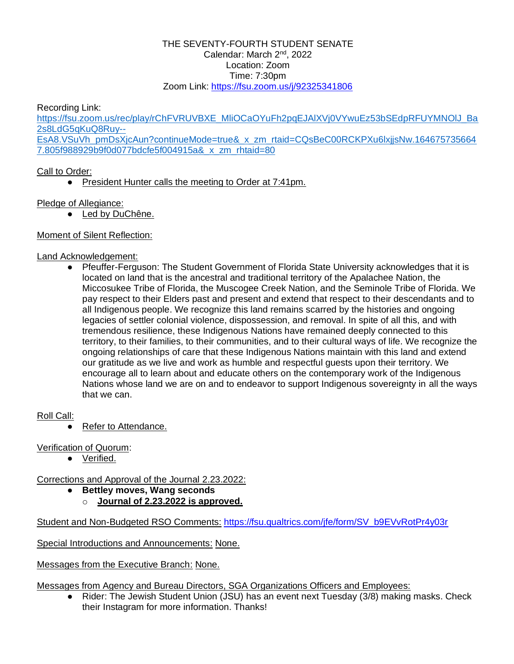#### THE SEVENTY-FOURTH STUDENT SENATE Calendar: March 2<sup>nd</sup>, 2022 Location: Zoom Time: 7:30pm Zoom Link:<https://fsu.zoom.us/j/92325341806>

#### Recording Link:

[https://fsu.zoom.us/rec/play/rChFVRUVBXE\\_MliOCaOYuFh2pqEJAlXVj0VYwuEz53bSEdpRFUYMNOlJ\\_Ba](https://fsu.zoom.us/rec/play/rChFVRUVBXE_MliOCaOYuFh2pqEJAlXVj0VYwuEz53bSEdpRFUYMNOlJ_Ba2s8LdG5qKuQ8Ruy--EsA8.VSuVh_pmDsXjcAun?continueMode=true&_x_zm_rtaid=CQsBeC00RCKPXu6lxjjsNw.1646757356647.805f988929b9f0d077bdcfe5f004915a&_x_zm_rhtaid=80) [2s8LdG5qKuQ8Ruy--](https://fsu.zoom.us/rec/play/rChFVRUVBXE_MliOCaOYuFh2pqEJAlXVj0VYwuEz53bSEdpRFUYMNOlJ_Ba2s8LdG5qKuQ8Ruy--EsA8.VSuVh_pmDsXjcAun?continueMode=true&_x_zm_rtaid=CQsBeC00RCKPXu6lxjjsNw.1646757356647.805f988929b9f0d077bdcfe5f004915a&_x_zm_rhtaid=80) [EsA8.VSuVh\\_pmDsXjcAun?continueMode=true&\\_x\\_zm\\_rtaid=CQsBeC00RCKPXu6lxjjsNw.164675735664](https://fsu.zoom.us/rec/play/rChFVRUVBXE_MliOCaOYuFh2pqEJAlXVj0VYwuEz53bSEdpRFUYMNOlJ_Ba2s8LdG5qKuQ8Ruy--EsA8.VSuVh_pmDsXjcAun?continueMode=true&_x_zm_rtaid=CQsBeC00RCKPXu6lxjjsNw.1646757356647.805f988929b9f0d077bdcfe5f004915a&_x_zm_rhtaid=80)

[7.805f988929b9f0d077bdcfe5f004915a&\\_x\\_zm\\_rhtaid=80](https://fsu.zoom.us/rec/play/rChFVRUVBXE_MliOCaOYuFh2pqEJAlXVj0VYwuEz53bSEdpRFUYMNOlJ_Ba2s8LdG5qKuQ8Ruy--EsA8.VSuVh_pmDsXjcAun?continueMode=true&_x_zm_rtaid=CQsBeC00RCKPXu6lxjjsNw.1646757356647.805f988929b9f0d077bdcfe5f004915a&_x_zm_rhtaid=80)

### Call to Order:

● President Hunter calls the meeting to Order at 7:41pm.

Pledge of Allegiance:

● Led by DuChêne.

### Moment of Silent Reflection:

### Land Acknowledgement:

● Pfeuffer-Ferguson: The Student Government of Florida State University acknowledges that it is located on land that is the ancestral and traditional territory of the Apalachee Nation, the Miccosukee Tribe of Florida, the Muscogee Creek Nation, and the Seminole Tribe of Florida. We pay respect to their Elders past and present and extend that respect to their descendants and to all Indigenous people. We recognize this land remains scarred by the histories and ongoing legacies of settler colonial violence, dispossession, and removal. In spite of all this, and with tremendous resilience, these Indigenous Nations have remained deeply connected to this territory, to their families, to their communities, and to their cultural ways of life. We recognize the ongoing relationships of care that these Indigenous Nations maintain with this land and extend our gratitude as we live and work as humble and respectful guests upon their territory. We encourage all to learn about and educate others on the contemporary work of the Indigenous Nations whose land we are on and to endeavor to support Indigenous sovereignty in all the ways that we can.

### Roll Call:

Refer to Attendance.

Verification of Quorum:

Verified.

Corrections and Approval of the Journal 2.23.2022:

- **Bettley moves, Wang seconds**
	- o **Journal of 2.23.2022 is approved.**

Student and Non-Budgeted RSO Comments: [https://fsu.qualtrics.com/jfe/form/SV\\_b9EVvRotPr4y03r](https://fsu.qualtrics.com/jfe/form/SV_b9EVvRotPr4y03r)

Special Introductions and Announcements: None.

Messages from the Executive Branch: None.

Messages from Agency and Bureau Directors, SGA Organizations Officers and Employees:

● Rider: The Jewish Student Union (JSU) has an event next Tuesday (3/8) making masks. Check their Instagram for more information. Thanks!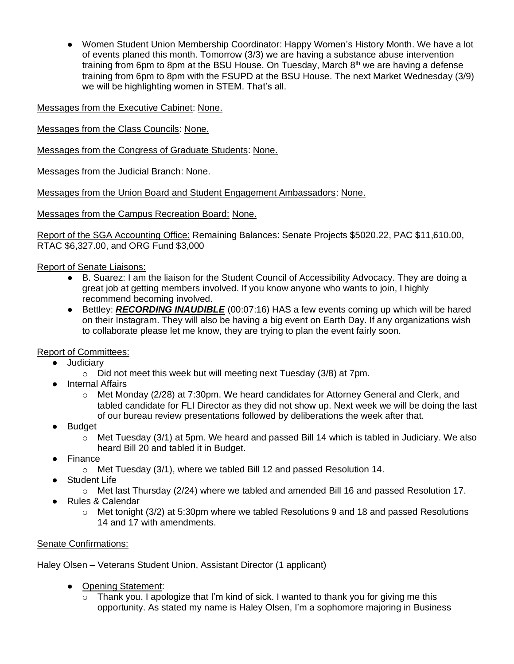● Women Student Union Membership Coordinator: Happy Women's History Month. We have a lot of events planed this month. Tomorrow (3/3) we are having a substance abuse intervention training from 6pm to 8pm at the BSU House. On Tuesday, March  $8<sup>th</sup>$  we are having a defense training from 6pm to 8pm with the FSUPD at the BSU House. The next Market Wednesday (3/9) we will be highlighting women in STEM. That's all.

Messages from the Executive Cabinet: None.

Messages from the Class Councils: None.

Messages from the Congress of Graduate Students: None.

Messages from the Judicial Branch: None.

Messages from the Union Board and Student Engagement Ambassadors: None.

Messages from the Campus Recreation Board: None.

Report of the SGA Accounting Office: Remaining Balances: Senate Projects \$5020.22, PAC \$11,610.00, RTAC \$6,327.00, and ORG Fund \$3,000

Report of Senate Liaisons:

- B. Suarez: I am the liaison for the Student Council of Accessibility Advocacy. They are doing a great job at getting members involved. If you know anyone who wants to join, I highly recommend becoming involved.
- Bettley: *RECORDING INAUDIBLE* (00:07:16) HAS a few events coming up which will be hared on their Instagram. They will also be having a big event on Earth Day. If any organizations wish to collaborate please let me know, they are trying to plan the event fairly soon.

### Report of Committees:

- Judiciary
	- o Did not meet this week but will meeting next Tuesday (3/8) at 7pm.
- Internal Affairs
	- $\circ$  Met Monday (2/28) at 7:30pm. We heard candidates for Attorney General and Clerk, and tabled candidate for FLI Director as they did not show up. Next week we will be doing the last of our bureau review presentations followed by deliberations the week after that.
- **Budget** 
	- o Met Tuesday (3/1) at 5pm. We heard and passed Bill 14 which is tabled in Judiciary. We also heard Bill 20 and tabled it in Budget.
- Finance
	- $\circ$  Met Tuesday (3/1), where we tabled Bill 12 and passed Resolution 14.
- Student Life
	- $\circ$  Met last Thursday (2/24) where we tabled and amended Bill 16 and passed Resolution 17.
- **Rules & Calendar** 
	- o Met tonight (3/2) at 5:30pm where we tabled Resolutions 9 and 18 and passed Resolutions 14 and 17 with amendments.

# Senate Confirmations:

Haley Olsen – Veterans Student Union, Assistant Director (1 applicant)

- Opening Statement:
	- $\circ$  Thank you. I apologize that I'm kind of sick. I wanted to thank you for giving me this opportunity. As stated my name is Haley Olsen, I'm a sophomore majoring in Business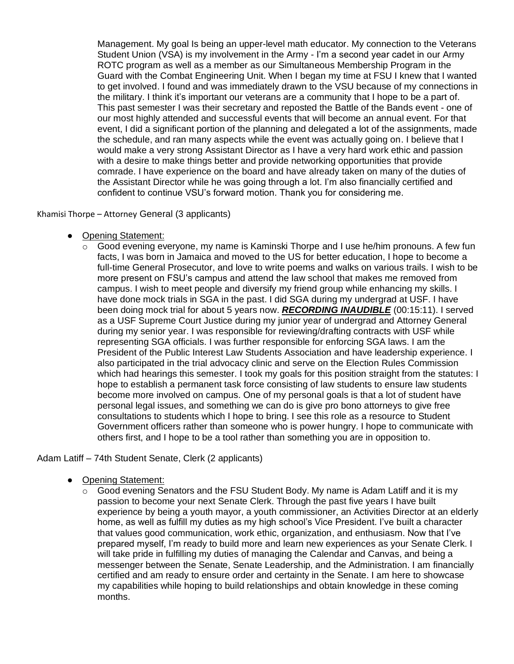Management. My goal Is being an upper-level math educator. My connection to the Veterans Student Union (VSA) is my involvement in the Army - I'm a second year cadet in our Army ROTC program as well as a member as our Simultaneous Membership Program in the Guard with the Combat Engineering Unit. When I began my time at FSU I knew that I wanted to get involved. I found and was immediately drawn to the VSU because of my connections in the military. I think it's important our veterans are a community that I hope to be a part of. This past semester I was their secretary and reposted the Battle of the Bands event - one of our most highly attended and successful events that will become an annual event. For that event, I did a significant portion of the planning and delegated a lot of the assignments, made the schedule, and ran many aspects while the event was actually going on. I believe that I would make a very strong Assistant Director as I have a very hard work ethic and passion with a desire to make things better and provide networking opportunities that provide comrade. I have experience on the board and have already taken on many of the duties of the Assistant Director while he was going through a lot. I'm also financially certified and confident to continue VSU's forward motion. Thank you for considering me.

Khamisi Thorpe – Attorney General (3 applicants)

- Opening Statement:
	- $\circ$  Good evening everyone, my name is Kaminski Thorpe and I use he/him pronouns. A few fun facts, I was born in Jamaica and moved to the US for better education, I hope to become a full-time General Prosecutor, and love to write poems and walks on various trails. I wish to be more present on FSU's campus and attend the law school that makes me removed from campus. I wish to meet people and diversify my friend group while enhancing my skills. I have done mock trials in SGA in the past. I did SGA during my undergrad at USF. I have been doing mock trial for about 5 years now. *RECORDING INAUDIBLE* (00:15:11). I served as a USF Supreme Court Justice during my junior year of undergrad and Attorney General during my senior year. I was responsible for reviewing/drafting contracts with USF while representing SGA officials. I was further responsible for enforcing SGA laws. I am the President of the Public Interest Law Students Association and have leadership experience. I also participated in the trial advocacy clinic and serve on the Election Rules Commission which had hearings this semester. I took my goals for this position straight from the statutes: I hope to establish a permanent task force consisting of law students to ensure law students become more involved on campus. One of my personal goals is that a lot of student have personal legal issues, and something we can do is give pro bono attorneys to give free consultations to students which I hope to bring. I see this role as a resource to Student Government officers rather than someone who is power hungry. I hope to communicate with others first, and I hope to be a tool rather than something you are in opposition to.

Adam Latiff – 74th Student Senate, Clerk (2 applicants)

- Opening Statement:
	- $\circ$  Good evening Senators and the FSU Student Body. My name is Adam Latiff and it is my passion to become your next Senate Clerk. Through the past five years I have built experience by being a youth mayor, a youth commissioner, an Activities Director at an elderly home, as well as fulfill my duties as my high school's Vice President. I've built a character that values good communication, work ethic, organization, and enthusiasm. Now that I've prepared myself, I'm ready to build more and learn new experiences as your Senate Clerk. I will take pride in fulfilling my duties of managing the Calendar and Canvas, and being a messenger between the Senate, Senate Leadership, and the Administration. I am financially certified and am ready to ensure order and certainty in the Senate. I am here to showcase my capabilities while hoping to build relationships and obtain knowledge in these coming months.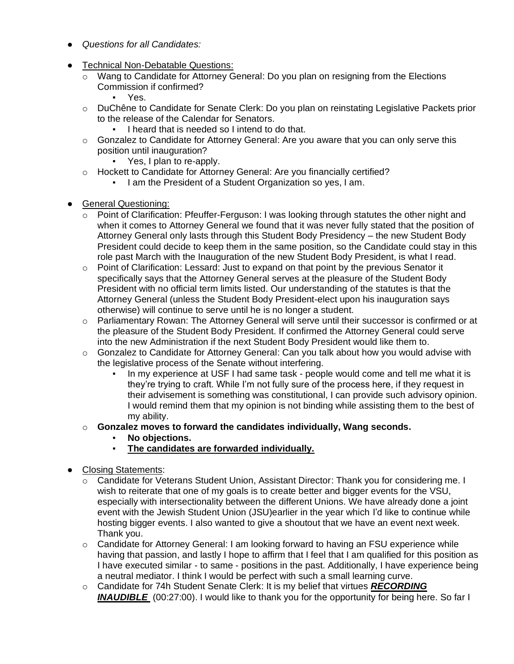- *Questions for all Candidates:*
- Technical Non-Debatable Questions:
	- $\circ$  Wang to Candidate for Attorney General: Do you plan on resigning from the Elections Commission if confirmed?
		- Yes.
	- o DuChêne to Candidate for Senate Clerk: Do you plan on reinstating Legislative Packets prior to the release of the Calendar for Senators.
		- I heard that is needed so I intend to do that.
	- $\circ$  Gonzalez to Candidate for Attorney General: Are you aware that you can only serve this position until inauguration?
		- Yes, I plan to re-apply.
	- o Hockett to Candidate for Attorney General: Are you financially certified?
		- I am the President of a Student Organization so yes, I am.
- General Questioning:
	- $\circ$  Point of Clarification: Pfeuffer-Ferguson: I was looking through statutes the other night and when it comes to Attorney General we found that it was never fully stated that the position of Attorney General only lasts through this Student Body Presidency – the new Student Body President could decide to keep them in the same position, so the Candidate could stay in this role past March with the Inauguration of the new Student Body President, is what I read.
	- $\circ$  Point of Clarification: Lessard: Just to expand on that point by the previous Senator it specifically says that the Attorney General serves at the pleasure of the Student Body President with no official term limits listed. Our understanding of the statutes is that the Attorney General (unless the Student Body President-elect upon his inauguration says otherwise) will continue to serve until he is no longer a student.
	- o Parliamentary Rowan: The Attorney General will serve until their successor is confirmed or at the pleasure of the Student Body President. If confirmed the Attorney General could serve into the new Administration if the next Student Body President would like them to.
	- $\circ$  Gonzalez to Candidate for Attorney General: Can you talk about how you would advise with the legislative process of the Senate without interfering.
		- In my experience at USF I had same task people would come and tell me what it is they're trying to craft. While I'm not fully sure of the process here, if they request in their advisement is something was constitutional, I can provide such advisory opinion. I would remind them that my opinion is not binding while assisting them to the best of my ability.
	- o **Gonzalez moves to forward the candidates individually, Wang seconds.**
		- **No objections.**
		- **The candidates are forwarded individually.**
- Closing Statements:
	- o Candidate for Veterans Student Union, Assistant Director: Thank you for considering me. I wish to reiterate that one of my goals is to create better and bigger events for the VSU, especially with intersectionality between the different Unions. We have already done a joint event with the Jewish Student Union (JSU)earlier in the year which I'd like to continue while hosting bigger events. I also wanted to give a shoutout that we have an event next week. Thank you.
	- $\circ$  Candidate for Attorney General: I am looking forward to having an FSU experience while having that passion, and lastly I hope to affirm that I feel that I am qualified for this position as I have executed similar - to same - positions in the past. Additionally, I have experience being a neutral mediator. I think I would be perfect with such a small learning curve.
	- o Candidate for 74h Student Senate Clerk: It is my belief that virtues *RECORDING*  **INAUDIBLE** (00:27:00). I would like to thank you for the opportunity for being here. So far I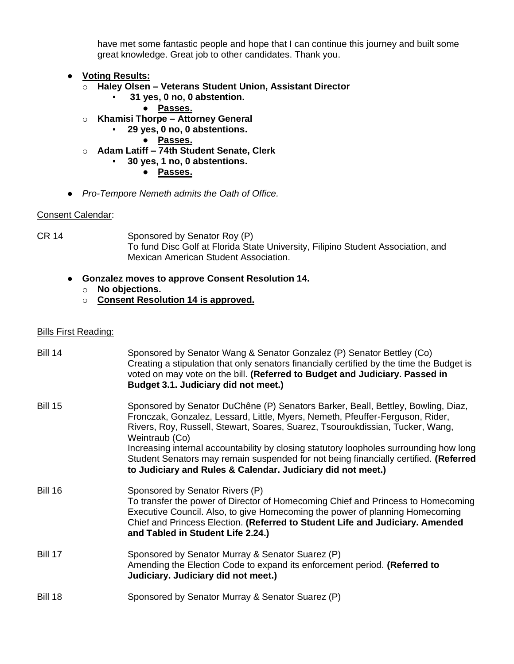have met some fantastic people and hope that I can continue this journey and built some great knowledge. Great job to other candidates. Thank you.

- **Voting Results:**
	- o **Haley Olsen – Veterans Student Union, Assistant Director**
		- **31 yes, 0 no, 0 abstention.**
			- **Passes.**
	- o **Khamisi Thorpe – Attorney General**
		- **29 yes, 0 no, 0 abstentions.**
			- **Passes.**
	- o **Adam Latiff – 74th Student Senate, Clerk**
		- **30 yes, 1 no, 0 abstentions.**
			- **Passes.**
- *Pro-Tempore Nemeth admits the Oath of Office.*

### Consent Calendar:

CR 14 Sponsored by Senator Roy (P) To fund Disc Golf at Florida State University, Filipino Student Association, and Mexican American Student Association.

## ● **Gonzalez moves to approve Consent Resolution 14.**

- o **No objections.**
- o **Consent Resolution 14 is approved.**

#### Bills First Reading:

| <b>Bill 14</b> | Sponsored by Senator Wang & Senator Gonzalez (P) Senator Bettley (Co)<br>Creating a stipulation that only senators financially certified by the time the Budget is<br>voted on may vote on the bill. (Referred to Budget and Judiciary. Passed in<br>Budget 3.1. Judiciary did not meet.)                                                                                                                                                              |
|----------------|--------------------------------------------------------------------------------------------------------------------------------------------------------------------------------------------------------------------------------------------------------------------------------------------------------------------------------------------------------------------------------------------------------------------------------------------------------|
| <b>Bill 15</b> | Sponsored by Senator DuChêne (P) Senators Barker, Beall, Bettley, Bowling, Diaz,<br>Fronczak, Gonzalez, Lessard, Little, Myers, Nemeth, Pfeuffer-Ferguson, Rider,<br>Rivers, Roy, Russell, Stewart, Soares, Suarez, Tsouroukdissian, Tucker, Wang,<br>Weintraub (Co)<br>Increasing internal accountability by closing statutory loopholes surrounding how long<br>Student Senators may remain suspended for not being financially certified. (Referred |
|                | to Judiciary and Rules & Calendar. Judiciary did not meet.)                                                                                                                                                                                                                                                                                                                                                                                            |
| <b>Bill 16</b> | Sponsored by Senator Rivers (P)<br>To transfer the power of Director of Homecoming Chief and Princess to Homecoming<br>Executive Council. Also, to give Homecoming the power of planning Homecoming<br>Chief and Princess Election. (Referred to Student Life and Judiciary. Amended<br>and Tabled in Student Life 2.24.)                                                                                                                              |
| <b>Bill 17</b> | Sponsored by Senator Murray & Senator Suarez (P)<br>Amending the Election Code to expand its enforcement period. (Referred to<br>Judiciary. Judiciary did not meet.)                                                                                                                                                                                                                                                                                   |
| <b>Bill 18</b> | Sponsored by Senator Murray & Senator Suarez (P)                                                                                                                                                                                                                                                                                                                                                                                                       |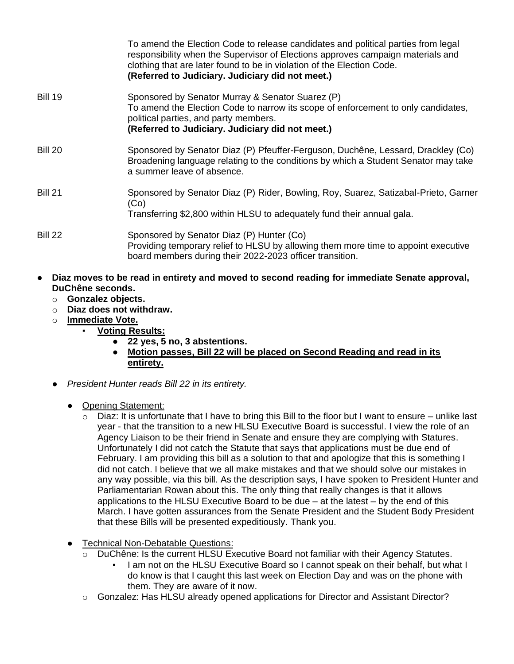|                | To amend the Election Code to release candidates and political parties from legal<br>responsibility when the Supervisor of Elections approves campaign materials and<br>clothing that are later found to be in violation of the Election Code.<br>(Referred to Judiciary. Judiciary did not meet.) |
|----------------|----------------------------------------------------------------------------------------------------------------------------------------------------------------------------------------------------------------------------------------------------------------------------------------------------|
| <b>Bill 19</b> | Sponsored by Senator Murray & Senator Suarez (P)<br>To amend the Election Code to narrow its scope of enforcement to only candidates,<br>political parties, and party members.<br>(Referred to Judiciary. Judiciary did not meet.)                                                                 |
| Bill 20        | Sponsored by Senator Diaz (P) Pfeuffer-Ferguson, Duchêne, Lessard, Drackley (Co)<br>Broadening language relating to the conditions by which a Student Senator may take<br>a summer leave of absence.                                                                                               |
| <b>Bill 21</b> | Sponsored by Senator Diaz (P) Rider, Bowling, Roy, Suarez, Satizabal-Prieto, Garner<br>(Co)<br>Transferring \$2,800 within HLSU to adequately fund their annual gala.                                                                                                                              |
| Bill 22        | Sponsored by Senator Diaz (P) Hunter (Co)<br>Providing temporary relief to HLSU by allowing them more time to appoint executive<br>board members during their 2022-2023 officer transition.                                                                                                        |

- **Diaz moves to be read in entirety and moved to second reading for immediate Senate approval, DuChêne seconds.**
	- o **Gonzalez objects.**
	- o **Diaz does not withdraw.**
	- o **Immediate Vote.**
		- **Voting Results:**
			- **22 yes, 5 no, 3 abstentions.**
			- **Motion passes, Bill 22 will be placed on Second Reading and read in its entirety.**
	- *President Hunter reads Bill 22 in its entirety.*
		- Opening Statement:
			- $\circ$  Diaz: It is unfortunate that I have to bring this Bill to the floor but I want to ensure unlike last year - that the transition to a new HLSU Executive Board is successful. I view the role of an Agency Liaison to be their friend in Senate and ensure they are complying with Statures. Unfortunately I did not catch the Statute that says that applications must be due end of February. I am providing this bill as a solution to that and apologize that this is something I did not catch. I believe that we all make mistakes and that we should solve our mistakes in any way possible, via this bill. As the description says, I have spoken to President Hunter and Parliamentarian Rowan about this. The only thing that really changes is that it allows applications to the HLSU Executive Board to be due – at the latest – by the end of this March. I have gotten assurances from the Senate President and the Student Body President that these Bills will be presented expeditiously. Thank you.
		- Technical Non-Debatable Questions:
			- $\circ$  DuChêne: Is the current HLSU Executive Board not familiar with their Agency Statutes.
				- I am not on the HLSU Executive Board so I cannot speak on their behalf, but what I do know is that I caught this last week on Election Day and was on the phone with them. They are aware of it now.
			- o Gonzalez: Has HLSU already opened applications for Director and Assistant Director?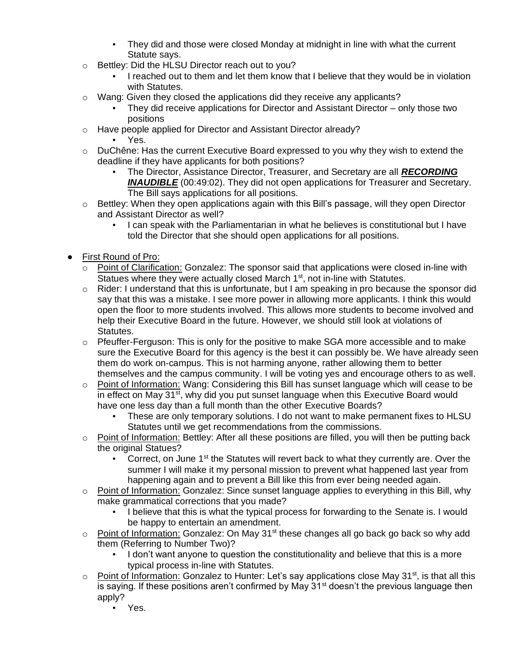- They did and those were closed Monday at midnight in line with what the current Statute says.
- o Bettley: Did the HLSU Director reach out to you?
	- I reached out to them and let them know that I believe that they would be in violation with Statutes.
- o Wang: Given they closed the applications did they receive any applicants?
	- They did receive applications for Director and Assistant Director  $-$  only those two positions
- o Have people applied for Director and Assistant Director already?
	- Yes.
- o DuChêne: Has the current Executive Board expressed to you why they wish to extend the deadline if they have applicants for both positions?
	- The Director, Assistance Director, Treasurer, and Secretary are all *RECORDING INAUDIBLE* (00:49:02). They did not open applications for Treasurer and Secretary. The Bill says applications for all positions.
- $\circ$  Bettley: When they open applications again with this Bill's passage, will they open Director and Assistant Director as well?
	- I can speak with the Parliamentarian in what he believes is constitutional but I have told the Director that she should open applications for all positions.
- First Round of Pro:
	- $\circ$  Point of Clarification: Gonzalez: The sponsor said that applications were closed in-line with Statues where they were actually closed March 1<sup>st</sup>, not in-line with Statutes.
	- $\circ$  Rider: I understand that this is unfortunate, but I am speaking in pro because the sponsor did say that this was a mistake. I see more power in allowing more applicants. I think this would open the floor to more students involved. This allows more students to become involved and help their Executive Board in the future. However, we should still look at violations of Statutes.
	- $\circ$  Pfeuffer-Ferguson: This is only for the positive to make SGA more accessible and to make sure the Executive Board for this agency is the best it can possibly be. We have already seen them do work on-campus. This is not harming anyone, rather allowing them to better themselves and the campus community. I will be voting yes and encourage others to as well.
	- $\circ$  Point of Information: Wang: Considering this Bill has sunset language which will cease to be in effect on May 31<sup>st</sup>, why did you put sunset language when this Executive Board would have one less day than a full month than the other Executive Boards?
		- These are only temporary solutions. I do not want to make permanent fixes to HLSU Statutes until we get recommendations from the commissions.
	- $\circ$  Point of Information: Bettley: After all these positions are filled, you will then be putting back the original Statues?
		- Correct, on June 1<sup>st</sup> the Statutes will revert back to what they currently are. Over the summer I will make it my personal mission to prevent what happened last year from happening again and to prevent a Bill like this from ever being needed again.
	- $\circ$  Point of Information: Gonzalez: Since sunset language applies to everything in this Bill, why make grammatical corrections that you made?
		- I believe that this is what the typical process for forwarding to the Senate is. I would be happy to entertain an amendment.
	- $\circ$  Point of Information: Gonzalez: On May 31<sup>st</sup> these changes all go back go back so why add them (Referring to Number Two)?
		- I don't want anyone to question the constitutionality and believe that this is a more typical process in-line with Statutes.
	- $\circ$  Point of Information: Gonzalez to Hunter: Let's say applications close May 31<sup>st</sup>, is that all this is saying. If these positions aren't confirmed by May  $31<sup>st</sup>$  doesn't the previous language then apply?
		- Yes.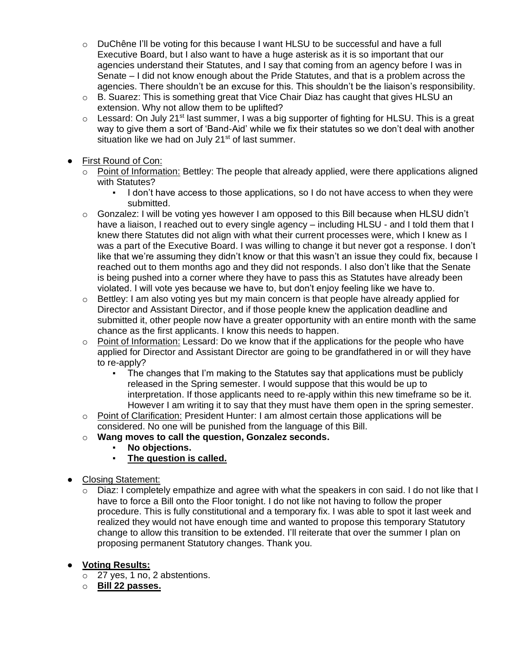- o DuChêne I'll be voting for this because I want HLSU to be successful and have a full Executive Board, but I also want to have a huge asterisk as it is so important that our agencies understand their Statutes, and I say that coming from an agency before I was in Senate – I did not know enough about the Pride Statutes, and that is a problem across the agencies. There shouldn't be an excuse for this. This shouldn't be the liaison's responsibility.
- o B. Suarez: This is something great that Vice Chair Diaz has caught that gives HLSU an extension. Why not allow them to be uplifted?
- $\circ$  Lessard: On July 21<sup>st</sup> last summer, I was a big supporter of fighting for HLSU. This is a great way to give them a sort of 'Band-Aid' while we fix their statutes so we don't deal with another situation like we had on July  $21<sup>st</sup>$  of last summer.
- First Round of Con:
	- o Point of Information: Bettley: The people that already applied, were there applications aligned with Statutes?
		- I don't have access to those applications, so I do not have access to when they were submitted.
	- $\circ$  Gonzalez: I will be voting yes however I am opposed to this Bill because when HLSU didn't have a liaison, I reached out to every single agency – including HLSU - and I told them that I knew there Statutes did not align with what their current processes were, which I knew as I was a part of the Executive Board. I was willing to change it but never got a response. I don't like that we're assuming they didn't know or that this wasn't an issue they could fix, because I reached out to them months ago and they did not responds. I also don't like that the Senate is being pushed into a corner where they have to pass this as Statutes have already been violated. I will vote yes because we have to, but don't enjoy feeling like we have to.
	- $\circ$  Bettley: I am also voting yes but my main concern is that people have already applied for Director and Assistant Director, and if those people knew the application deadline and submitted it, other people now have a greater opportunity with an entire month with the same chance as the first applicants. I know this needs to happen.
	- $\circ$  Point of Information: Lessard: Do we know that if the applications for the people who have applied for Director and Assistant Director are going to be grandfathered in or will they have to re-apply?
		- The changes that I'm making to the Statutes say that applications must be publicly released in the Spring semester. I would suppose that this would be up to interpretation. If those applicants need to re-apply within this new timeframe so be it. However I am writing it to say that they must have them open in the spring semester.
	- $\circ$  Point of Clarification: President Hunter: I am almost certain those applications will be considered. No one will be punished from the language of this Bill.
	- o **Wang moves to call the question, Gonzalez seconds.**
		- **No objections.**
		- **The question is called.**
- **Closing Statement:** 
	- $\circ$  Diaz: I completely empathize and agree with what the speakers in con said. I do not like that I have to force a Bill onto the Floor tonight. I do not like not having to follow the proper procedure. This is fully constitutional and a temporary fix. I was able to spot it last week and realized they would not have enough time and wanted to propose this temporary Statutory change to allow this transition to be extended. I'll reiterate that over the summer I plan on proposing permanent Statutory changes. Thank you.
- **Voting Results:**
	- o 27 yes, 1 no, 2 abstentions.
	- o **Bill 22 passes.**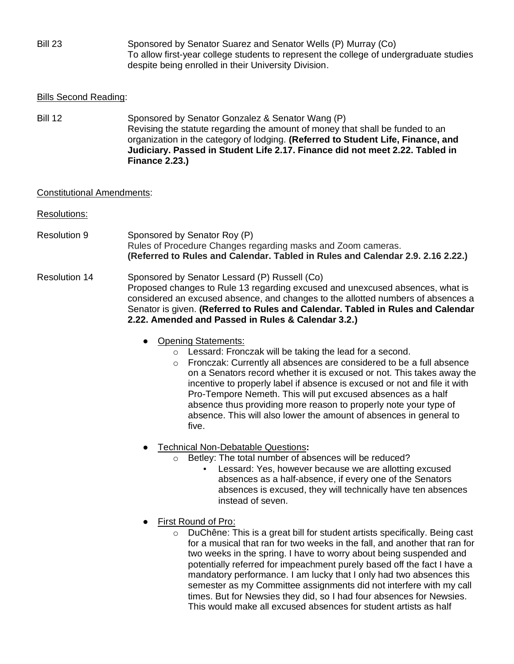Bill 23 Sponsored by Senator Suarez and Senator Wells (P) Murray (Co) To allow first-year college students to represent the college of undergraduate studies despite being enrolled in their University Division.

### Bills Second Reading:

Bill 12 Sponsored by Senator Gonzalez & Senator Wang (P) Revising the statute regarding the amount of money that shall be funded to an organization in the category of lodging. **(Referred to Student Life, Finance, and Judiciary. Passed in Student Life 2.17. Finance did not meet 2.22. Tabled in Finance 2.23.)**

### Constitutional Amendments:

- Resolutions:
- Resolution 9 Sponsored by Senator Roy (P) Rules of Procedure Changes regarding masks and Zoom cameras. **(Referred to Rules and Calendar. Tabled in Rules and Calendar 2.9. 2.16 2.22.)**
- Resolution 14 Sponsored by Senator Lessard (P) Russell (Co) Proposed changes to Rule 13 regarding excused and unexcused absences, what is considered an excused absence, and changes to the allotted numbers of absences a Senator is given. **(Referred to Rules and Calendar. Tabled in Rules and Calendar 2.22. Amended and Passed in Rules & Calendar 3.2.)**
	- Opening Statements:
		- o Lessard: Fronczak will be taking the lead for a second.
		- o Fronczak: Currently all absences are considered to be a full absence on a Senators record whether it is excused or not. This takes away the incentive to properly label if absence is excused or not and file it with Pro-Tempore Nemeth. This will put excused absences as a half absence thus providing more reason to properly note your type of absence. This will also lower the amount of absences in general to five.
	- Technical Non-Debatable Questions**:**
		- o Betley: The total number of absences will be reduced?
			- Lessard: Yes, however because we are allotting excused absences as a half-absence, if every one of the Senators absences is excused, they will technically have ten absences instead of seven.
	- First Round of Pro:
		- o DuChêne: This is a great bill for student artists specifically. Being cast for a musical that ran for two weeks in the fall, and another that ran for two weeks in the spring. I have to worry about being suspended and potentially referred for impeachment purely based off the fact I have a mandatory performance. I am lucky that I only had two absences this semester as my Committee assignments did not interfere with my call times. But for Newsies they did, so I had four absences for Newsies. This would make all excused absences for student artists as half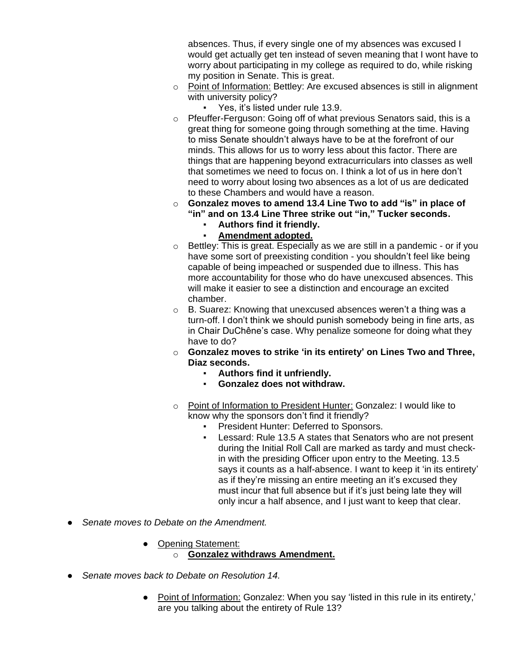absences. Thus, if every single one of my absences was excused I would get actually get ten instead of seven meaning that I wont have to worry about participating in my college as required to do, while risking my position in Senate. This is great.

- o Point of Information: Bettley: Are excused absences is still in alignment with university policy?
	- Yes, it's listed under rule 13.9.
- o Pfeuffer-Ferguson: Going off of what previous Senators said, this is a great thing for someone going through something at the time. Having to miss Senate shouldn't always have to be at the forefront of our minds. This allows for us to worry less about this factor. There are things that are happening beyond extracurriculars into classes as well that sometimes we need to focus on. I think a lot of us in here don't need to worry about losing two absences as a lot of us are dedicated to these Chambers and would have a reason.
- o **Gonzalez moves to amend 13.4 Line Two to add "is" in place of "in" and on 13.4 Line Three strike out "in," Tucker seconds.**
	- **Authors find it friendly.**
	- **Amendment adopted.**
- o Bettley: This is great. Especially as we are still in a pandemic or if you have some sort of preexisting condition - you shouldn't feel like being capable of being impeached or suspended due to illness. This has more accountability for those who do have unexcused absences. This will make it easier to see a distinction and encourage an excited chamber.
- o B. Suarez: Knowing that unexcused absences weren't a thing was a turn-off. I don't think we should punish somebody being in fine arts, as in Chair DuChêne's case. Why penalize someone for doing what they have to do?
- o **Gonzalez moves to strike 'in its entirety' on Lines Two and Three, Diaz seconds.**
	- **Authors find it unfriendly.**
	- **Gonzalez does not withdraw.**
- o Point of Information to President Hunter: Gonzalez: I would like to know why the sponsors don't find it friendly?
	- President Hunter: Deferred to Sponsors.
	- Lessard: Rule 13.5 A states that Senators who are not present during the Initial Roll Call are marked as tardy and must checkin with the presiding Officer upon entry to the Meeting. 13.5 says it counts as a half-absence. I want to keep it 'in its entirety' as if they're missing an entire meeting an it's excused they must incur that full absence but if it's just being late they will only incur a half absence, and I just want to keep that clear.
- *Senate moves to Debate on the Amendment.*
	- Opening Statement:
		- o **Gonzalez withdraws Amendment.**
- Senate moves back to Debate on Resolution 14.
	- Point of Information: Gonzalez: When you say 'listed in this rule in its entirety,' are you talking about the entirety of Rule 13?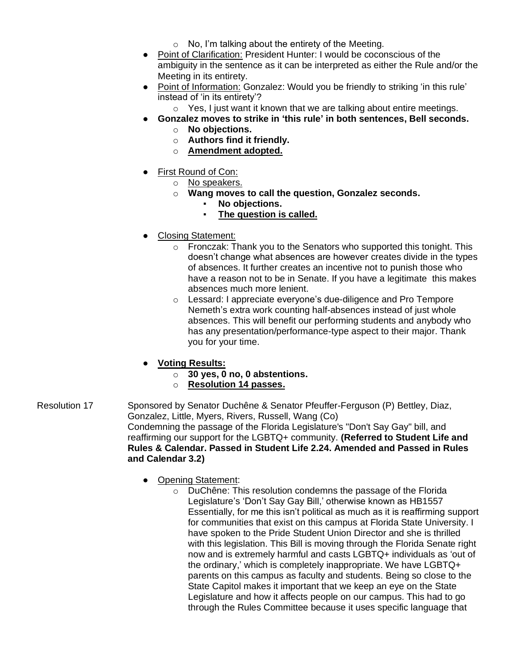- $\circ$  No, I'm talking about the entirety of the Meeting.
- Point of Clarification: President Hunter: I would be coconscious of the ambiguity in the sentence as it can be interpreted as either the Rule and/or the Meeting in its entirety.
- Point of Information: Gonzalez: Would you be friendly to striking 'in this rule' instead of 'in its entirety'?
	- o Yes, I just want it known that we are talking about entire meetings.
- **Gonzalez moves to strike in 'this rule' in both sentences, Bell seconds.**
	- o **No objections.**
	- o **Authors find it friendly.**
	- o **Amendment adopted.**
- First Round of Con:
	- o No speakers.
	- o **Wang moves to call the question, Gonzalez seconds.**
		- No objections.
			- **The question is called.**
- Closing Statement:
	- o Fronczak: Thank you to the Senators who supported this tonight. This doesn't change what absences are however creates divide in the types of absences. It further creates an incentive not to punish those who have a reason not to be in Senate. If you have a legitimate this makes absences much more lenient.
	- o Lessard: I appreciate everyone's due-diligence and Pro Tempore Nemeth's extra work counting half-absences instead of just whole absences. This will benefit our performing students and anybody who has any presentation/performance-type aspect to their major. Thank you for your time.
- **Voting Results:**
	- o **30 yes, 0 no, 0 abstentions.**
	- o **Resolution 14 passes.**
- Resolution 17 Sponsored by Senator Duchêne & Senator Pfeuffer-Ferguson (P) Bettley, Diaz, Gonzalez, Little, Myers, Rivers, Russell, Wang (Co) Condemning the passage of the Florida Legislature's "Don't Say Gay" bill, and reaffirming our support for the LGBTQ+ community. **(Referred to Student Life and Rules & Calendar. Passed in Student Life 2.24. Amended and Passed in Rules and Calendar 3.2)**
	- Opening Statement:
		- o DuChêne: This resolution condemns the passage of the Florida Legislature's 'Don't Say Gay Bill,' otherwise known as HB1557 Essentially, for me this isn't political as much as it is reaffirming support for communities that exist on this campus at Florida State University. I have spoken to the Pride Student Union Director and she is thrilled with this legislation. This Bill is moving through the Florida Senate right now and is extremely harmful and casts LGBTQ+ individuals as 'out of the ordinary,' which is completely inappropriate. We have LGBTQ+ parents on this campus as faculty and students. Being so close to the State Capitol makes it important that we keep an eye on the State Legislature and how it affects people on our campus. This had to go through the Rules Committee because it uses specific language that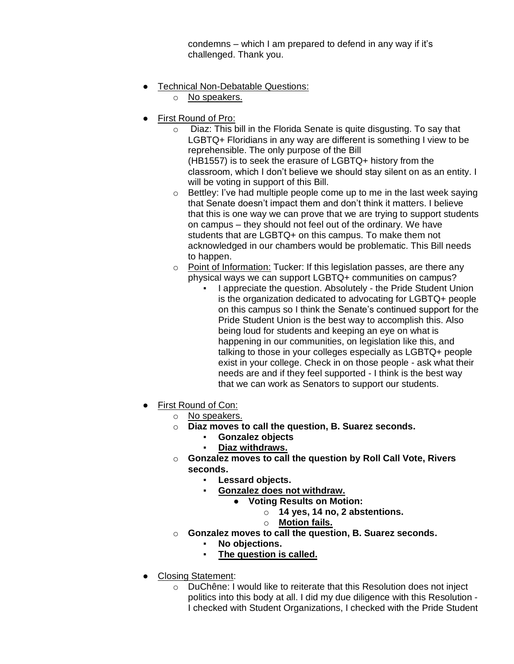condemns – which I am prepared to defend in any way if it's challenged. Thank you.

- Technical Non-Debatable Questions:
	- o No speakers.
- **First Round of Pro:** 
	- o Diaz: This bill in the Florida Senate is quite disgusting. To say that LGBTQ+ Floridians in any way are different is something I view to be reprehensible. The only purpose of the Bill (HB1557) is to seek the erasure of LGBTQ+ history from the classroom, which I don't believe we should stay silent on as an entity. I will be voting in support of this Bill.
	- o Bettley: I've had multiple people come up to me in the last week saying that Senate doesn't impact them and don't think it matters. I believe that this is one way we can prove that we are trying to support students on campus – they should not feel out of the ordinary. We have students that are LGBTQ+ on this campus. To make them not acknowledged in our chambers would be problematic. This Bill needs to happen.
	- o Point of Information: Tucker: If this legislation passes, are there any physical ways we can support LGBTQ+ communities on campus?
		- I appreciate the question. Absolutely the Pride Student Union is the organization dedicated to advocating for LGBTQ+ people on this campus so I think the Senate's continued support for the Pride Student Union is the best way to accomplish this. Also being loud for students and keeping an eye on what is happening in our communities, on legislation like this, and talking to those in your colleges especially as LGBTQ+ people exist in your college. Check in on those people - ask what their needs are and if they feel supported - I think is the best way that we can work as Senators to support our students.
- First Round of Con:
	- o No speakers.
	- o **Diaz moves to call the question, B. Suarez seconds.**
		- **Gonzalez objects**
			- **Diaz withdraws.**
	- o **Gonzalez moves to call the question by Roll Call Vote, Rivers seconds.**
		- **Lessard objects.**
		- **Gonzalez does not withdraw.**
			- **Voting Results on Motion:** 
				- o **14 yes, 14 no, 2 abstentions.**
			- o **Motion fails.**
	- o **Gonzalez moves to call the question, B. Suarez seconds.**
		- No objections.
		- **The question is called.**
- Closing Statement:
	- o DuChêne: I would like to reiterate that this Resolution does not inject politics into this body at all. I did my due diligence with this Resolution - I checked with Student Organizations, I checked with the Pride Student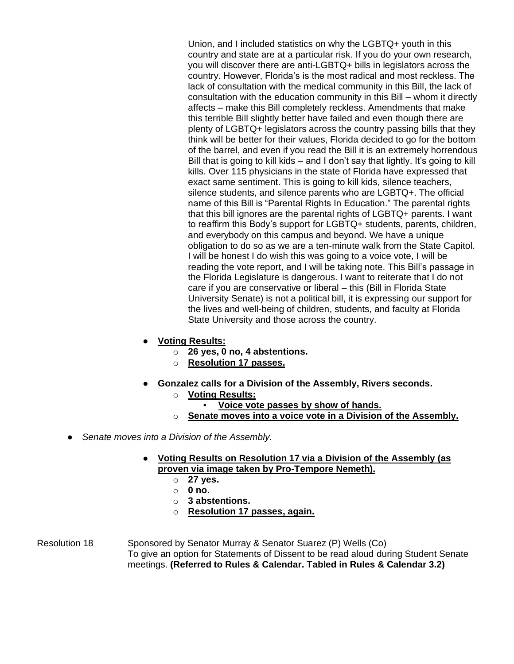Union, and I included statistics on why the LGBTQ+ youth in this country and state are at a particular risk. If you do your own research, you will discover there are anti-LGBTQ+ bills in legislators across the country. However, Florida's is the most radical and most reckless. The lack of consultation with the medical community in this Bill, the lack of consultation with the education community in this Bill – whom it directly affects – make this Bill completely reckless. Amendments that make this terrible Bill slightly better have failed and even though there are plenty of LGBTQ+ legislators across the country passing bills that they think will be better for their values, Florida decided to go for the bottom of the barrel, and even if you read the Bill it is an extremely horrendous Bill that is going to kill kids – and I don't say that lightly. It's going to kill kills. Over 115 physicians in the state of Florida have expressed that exact same sentiment. This is going to kill kids, silence teachers, silence students, and silence parents who are LGBTQ+. The official name of this Bill is "Parental Rights In Education." The parental rights that this bill ignores are the parental rights of LGBTQ+ parents. I want to reaffirm this Body's support for LGBTQ+ students, parents, children, and everybody on this campus and beyond. We have a unique obligation to do so as we are a ten-minute walk from the State Capitol. I will be honest I do wish this was going to a voice vote, I will be reading the vote report, and I will be taking note. This Bill's passage in the Florida Legislature is dangerous. I want to reiterate that I do not care if you are conservative or liberal – this (Bill in Florida State University Senate) is not a political bill, it is expressing our support for the lives and well-being of children, students, and faculty at Florida State University and those across the country.

- **Voting Results:**
	- o **26 yes, 0 no, 4 abstentions.**
	- o **Resolution 17 passes.**
- **Gonzalez calls for a Division of the Assembly, Rivers seconds.**
	- o **Voting Results:**
		- **<u>Voice vote passes by show of hands.</u>**
	- o **Senate moves into a voice vote in a Division of the Assembly.**
- Senate moves into a Division of the Assembly.
	- **Voting Results on Resolution 17 via a Division of the Assembly (as proven via image taken by Pro-Tempore Nemeth).**
		- o **27 yes.**
		- o **0 no.**
		- o **3 abstentions.**
		- o **Resolution 17 passes, again.**

Resolution 18 Sponsored by Senator Murray & Senator Suarez (P) Wells (Co) To give an option for Statements of Dissent to be read aloud during Student Senate meetings. **(Referred to Rules & Calendar. Tabled in Rules & Calendar 3.2)**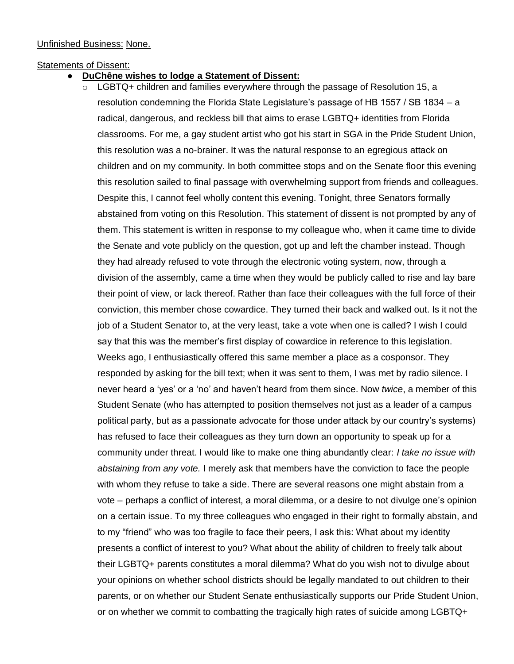### Unfinished Business: None.

#### Statements of Dissent:

- **DuChêne wishes to lodge a Statement of Dissent:**
	- $\circ$  LGBTQ+ children and families everywhere through the passage of Resolution 15, a resolution condemning the Florida State Legislature's passage of HB 1557 / SB 1834 – a radical, dangerous, and reckless bill that aims to erase LGBTQ+ identities from Florida classrooms. For me, a gay student artist who got his start in SGA in the Pride Student Union, this resolution was a no-brainer. It was the natural response to an egregious attack on children and on my community. In both committee stops and on the Senate floor this evening this resolution sailed to final passage with overwhelming support from friends and colleagues. Despite this, I cannot feel wholly content this evening. Tonight, three Senators formally abstained from voting on this Resolution. This statement of dissent is not prompted by any of them. This statement is written in response to my colleague who, when it came time to divide the Senate and vote publicly on the question, got up and left the chamber instead. Though they had already refused to vote through the electronic voting system, now, through a division of the assembly, came a time when they would be publicly called to rise and lay bare their point of view, or lack thereof. Rather than face their colleagues with the full force of their conviction, this member chose cowardice. They turned their back and walked out. Is it not the job of a Student Senator to, at the very least, take a vote when one is called? I wish I could say that this was the member's first display of cowardice in reference to this legislation. Weeks ago, I enthusiastically offered this same member a place as a cosponsor. They responded by asking for the bill text; when it was sent to them, I was met by radio silence. I never heard a 'yes' or a 'no' and haven't heard from them since. Now *twice*, a member of this Student Senate (who has attempted to position themselves not just as a leader of a campus political party, but as a passionate advocate for those under attack by our country's systems) has refused to face their colleagues as they turn down an opportunity to speak up for a community under threat. I would like to make one thing abundantly clear: *I take no issue with abstaining from any vote.* I merely ask that members have the conviction to face the people with whom they refuse to take a side. There are several reasons one might abstain from a vote – perhaps a conflict of interest, a moral dilemma, or a desire to not divulge one's opinion on a certain issue. To my three colleagues who engaged in their right to formally abstain, and to my "friend" who was too fragile to face their peers, I ask this: What about my identity presents a conflict of interest to you? What about the ability of children to freely talk about their LGBTQ+ parents constitutes a moral dilemma? What do you wish not to divulge about your opinions on whether school districts should be legally mandated to out children to their parents, or on whether our Student Senate enthusiastically supports our Pride Student Union, or on whether we commit to combatting the tragically high rates of suicide among LGBTQ+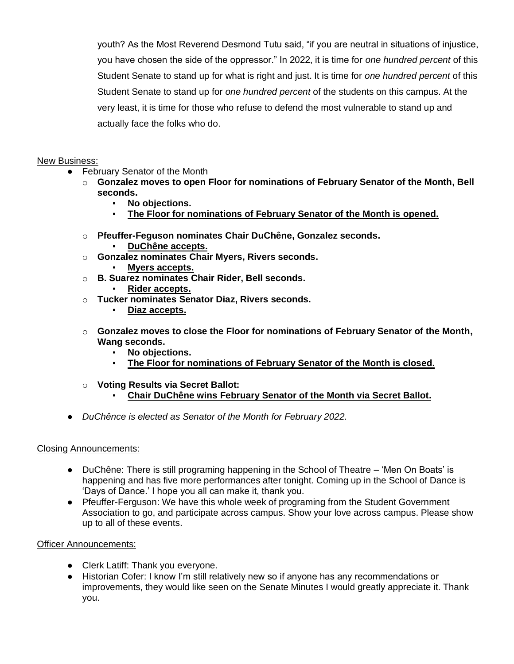youth? As the Most Reverend Desmond Tutu said, "if you are neutral in situations of injustice, you have chosen the side of the oppressor." In 2022, it is time for *one hundred percent* of this Student Senate to stand up for what is right and just. It is time for *one hundred percent* of this Student Senate to stand up for *one hundred percent* of the students on this campus. At the very least, it is time for those who refuse to defend the most vulnerable to stand up and actually face the folks who do.

## New Business:

- February Senator of the Month
	- o **Gonzalez moves to open Floor for nominations of February Senator of the Month, Bell seconds.**
		- **No objections.**
		- **The Floor for nominations of February Senator of the Month is opened.**
	- o **Pfeuffer-Feguson nominates Chair DuChêne, Gonzalez seconds.**
		- **DuChêne accepts.**
	- o **Gonzalez nominates Chair Myers, Rivers seconds.**
		- **Myers accepts.**
	- o **B. Suarez nominates Chair Rider, Bell seconds.**
		- Rider accepts.
	- o **Tucker nominates Senator Diaz, Rivers seconds.**
		- **Diaz accepts.**
	- o **Gonzalez moves to close the Floor for nominations of February Senator of the Month, Wang seconds.**
		- No objections.
		- The Floor for nominations of February Senator of the Month is closed.
	- o **Voting Results via Secret Ballot:**
		- **Chair DuChêne wins February Senator of the Month via Secret Ballot.**
- *DuChênce is elected as Senator of the Month for February 2022.*

### Closing Announcements:

- DuChêne: There is still programing happening in the School of Theatre 'Men On Boats' is happening and has five more performances after tonight. Coming up in the School of Dance is 'Days of Dance.' I hope you all can make it, thank you.
- Pfeuffer-Ferguson: We have this whole week of programing from the Student Government Association to go, and participate across campus. Show your love across campus. Please show up to all of these events.

### Officer Announcements:

- Clerk Latiff: Thank you everyone.
- Historian Cofer: I know I'm still relatively new so if anyone has any recommendations or improvements, they would like seen on the Senate Minutes I would greatly appreciate it. Thank you.